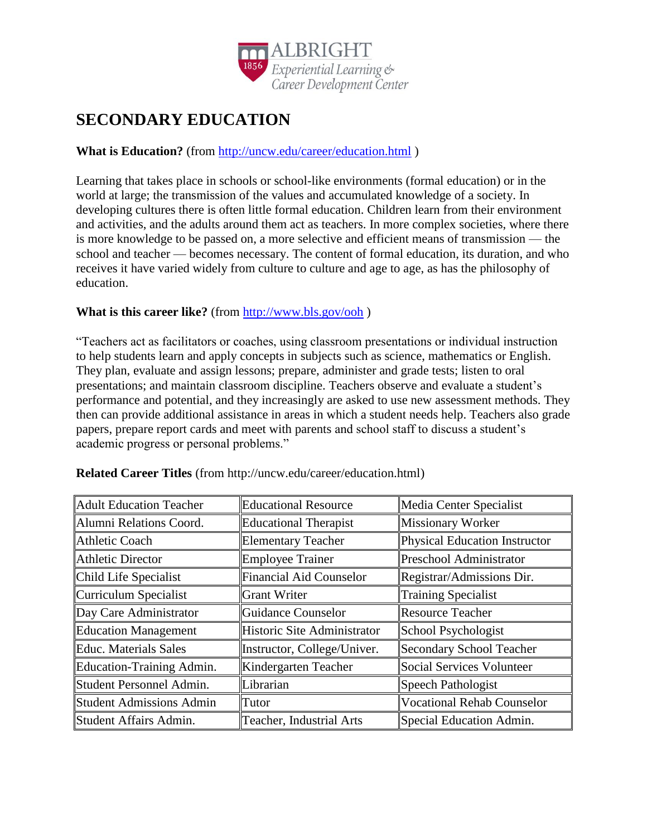

# **SECONDARY EDUCATION**

## **What is Education?** (from<http://uncw.edu/career/education.html> )

Learning that takes place in schools or school-like environments (formal education) or in the world at large; the transmission of the values and accumulated knowledge of a society. In developing cultures there is often little formal education. Children learn from their environment and activities, and the adults around them act as teachers. In more complex societies, where there is more knowledge to be passed on, a more selective and efficient means of transmission — the school and teacher — becomes necessary. The content of formal education, its duration, and who receives it have varied widely from culture to culture and age to age, as has the philosophy of education.

#### **What is this career like?** (from<http://www.bls.gov/ooh> )

"Teachers act as facilitators or coaches, using classroom presentations or individual instruction to help students learn and apply concepts in subjects such as science, mathematics or English. They plan, evaluate and assign lessons; prepare, administer and grade tests; listen to oral presentations; and maintain classroom discipline. Teachers observe and evaluate a student's performance and potential, and they increasingly are asked to use new assessment methods. They then can provide additional assistance in areas in which a student needs help. Teachers also grade papers, prepare report cards and meet with parents and school staff to discuss a student's academic progress or personal problems."

| <b>Adult Education Teacher</b> | <b>Educational Resource</b>     | Media Center Specialist           |
|--------------------------------|---------------------------------|-----------------------------------|
| Alumni Relations Coord.        | <b>Educational Therapist</b>    | <b>Missionary Worker</b>          |
| Athletic Coach                 | <b>Elementary Teacher</b>       | Physical Education Instructor     |
| Athletic Director              | <b>Employee Trainer</b>         | Preschool Administrator           |
| Child Life Specialist          | <b>Financial Aid Counselor</b>  | Registrar/Admissions Dir.         |
| Curriculum Specialist          | <b>Grant Writer</b>             | <b>Training Specialist</b>        |
| Day Care Administrator         | Guidance Counselor              | <b>Resource Teacher</b>           |
| Education Management           | Historic Site Administrator     | School Psychologist               |
| Educ. Materials Sales          | Instructor, College/Univer.     | <b>Secondary School Teacher</b>   |
| Education-Training Admin.      | Kindergarten Teacher            | <b>Social Services Volunteer</b>  |
| Student Personnel Admin.       | Librarian                       | Speech Pathologist                |
| Student Admissions Admin       | Tutor                           | <b>Vocational Rehab Counselor</b> |
| Student Affairs Admin.         | <b>Teacher, Industrial Arts</b> | Special Education Admin.          |

**Related Career Titles** (from http://uncw.edu/career/education.html)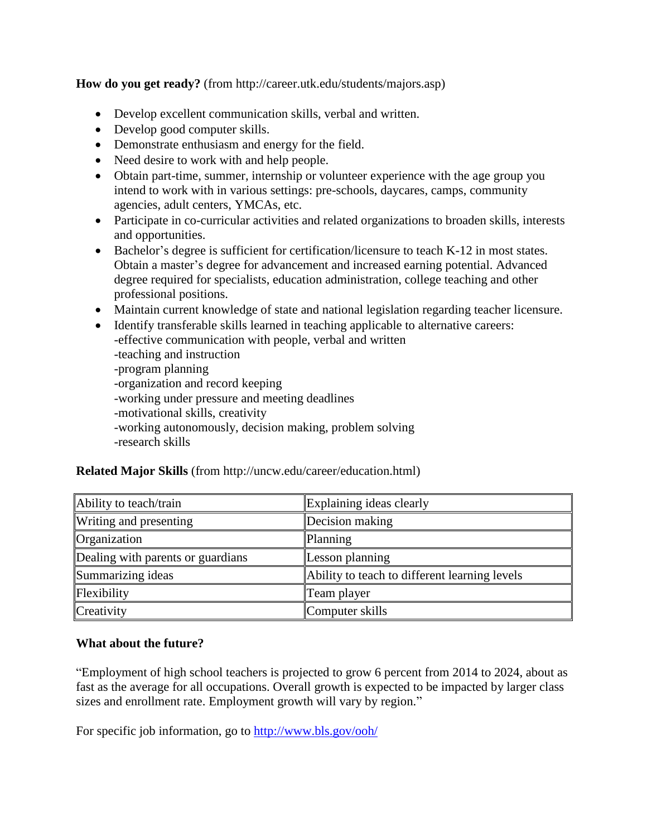**How do you get ready?** (from http://career.utk.edu/students/majors.asp)

- Develop excellent communication skills, verbal and written.
- Develop good computer skills.
- Demonstrate enthusiasm and energy for the field.
- Need desire to work with and help people.
- Obtain part-time, summer, internship or volunteer experience with the age group you intend to work with in various settings: pre-schools, daycares, camps, community agencies, adult centers, YMCAs, etc.
- Participate in co-curricular activities and related organizations to broaden skills, interests and opportunities.
- Bachelor's degree is sufficient for certification/licensure to teach K-12 in most states. Obtain a master's degree for advancement and increased earning potential. Advanced degree required for specialists, education administration, college teaching and other professional positions.
- Maintain current knowledge of state and national legislation regarding teacher licensure.
- Identify transferable skills learned in teaching applicable to alternative careers: -effective communication with people, verbal and written -teaching and instruction -program planning -organization and record keeping -working under pressure and meeting deadlines -motivational skills, creativity -working autonomously, decision making, problem solving -research skills

| Ability to teach/train            | Explaining ideas clearly                      |  |
|-----------------------------------|-----------------------------------------------|--|
| Writing and presenting            | Decision making                               |  |
| Organization                      | Planning                                      |  |
| Dealing with parents or guardians | Lesson planning                               |  |
| Summarizing ideas                 | Ability to teach to different learning levels |  |
| Flexibility                       | Team player                                   |  |
| Creativity                        | Computer skills                               |  |

#### **Related Major Skills** (from http://uncw.edu/career/education.html)

#### **What about the future?**

"Employment of high school teachers is projected to grow 6 percent from 2014 to 2024, about as fast as the average for all occupations. Overall growth is expected to be impacted by larger class sizes and enrollment rate. Employment growth will vary by region."

For specific job information, go to<http://www.bls.gov/ooh/>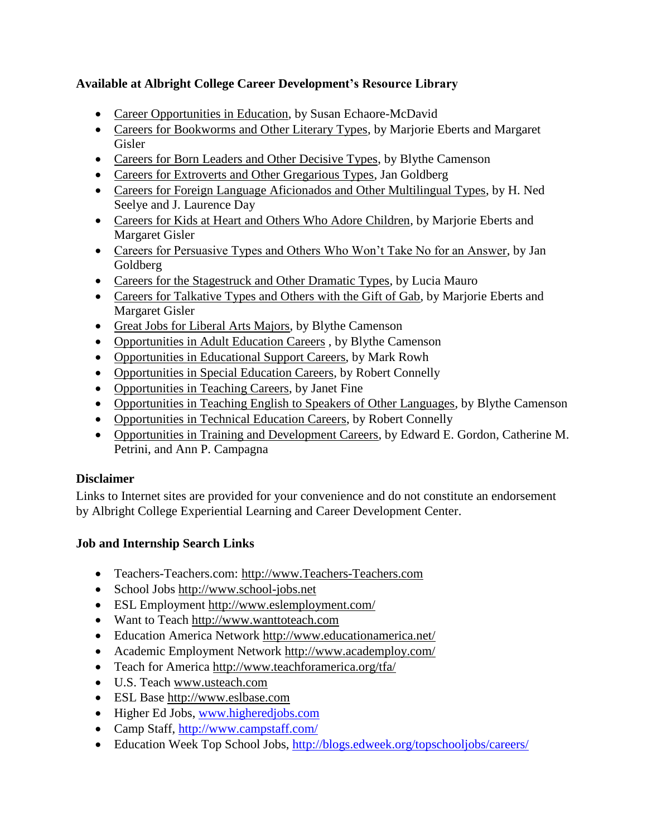# **Available at Albright College Career Development's Resource Library**

- Career Opportunities in Education, by Susan Echaore-McDavid
- Careers for Bookworms and Other Literary Types, by Marjorie Eberts and Margaret Gisler
- Careers for Born Leaders and Other Decisive Types, by Blythe Camenson
- Careers for Extroverts and Other Gregarious Types, Jan Goldberg
- Careers for Foreign Language Aficionados and Other Multilingual Types, by H. Ned Seelye and J. Laurence Day
- Careers for Kids at Heart and Others Who Adore Children, by Marjorie Eberts and Margaret Gisler
- Careers for Persuasive Types and Others Who Won't Take No for an Answer, by Jan Goldberg
- Careers for the Stagestruck and Other Dramatic Types, by Lucia Mauro
- Careers for Talkative Types and Others with the Gift of Gab, by Marjorie Eberts and Margaret Gisler
- Great Jobs for Liberal Arts Majors, by Blythe Camenson
- Opportunities in Adult Education Careers , by Blythe Camenson
- Opportunities in Educational Support Careers, by Mark Rowh
- Opportunities in Special Education Careers, by Robert Connelly
- Opportunities in Teaching Careers, by Janet Fine
- Opportunities in Teaching English to Speakers of Other Languages, by Blythe Camenson
- Opportunities in Technical Education Careers, by Robert Connelly
- Opportunities in Training and Development Careers, by Edward E. Gordon, Catherine M. Petrini, and Ann P. Campagna

## **Disclaimer**

Links to Internet sites are provided for your convenience and do not constitute an endorsement by Albright College Experiential Learning and Career Development Center.

# **Job and Internship Search Links**

- Teachers-Teachers.com: http://www.Teachers-Teachers.com
- School Jobs [http://www.school-jobs.net](http://www.school-jobs.net/)
- ESL Employment<http://www.eslemployment.com/>
- Want to Teach http://www.wanttoteach.com
- Education America Network<http://www.educationamerica.net/>
- Academic Employment Network<http://www.academploy.com/>
- Teach for America<http://www.teachforamerica.org/tfa/>
- U.S. Teach [www.usteach.com](http://www.usteach.com/)
- ESL Base [http://www.eslbase.com](http://www.eslbase.com/)
- Higher Ed Jobs, [www.higheredjobs.com](http://www.higheredjobs.com/)
- Camp Staff, <http://www.campstaff.com/>
- Education Week Top School Jobs,<http://blogs.edweek.org/topschooljobs/careers/>